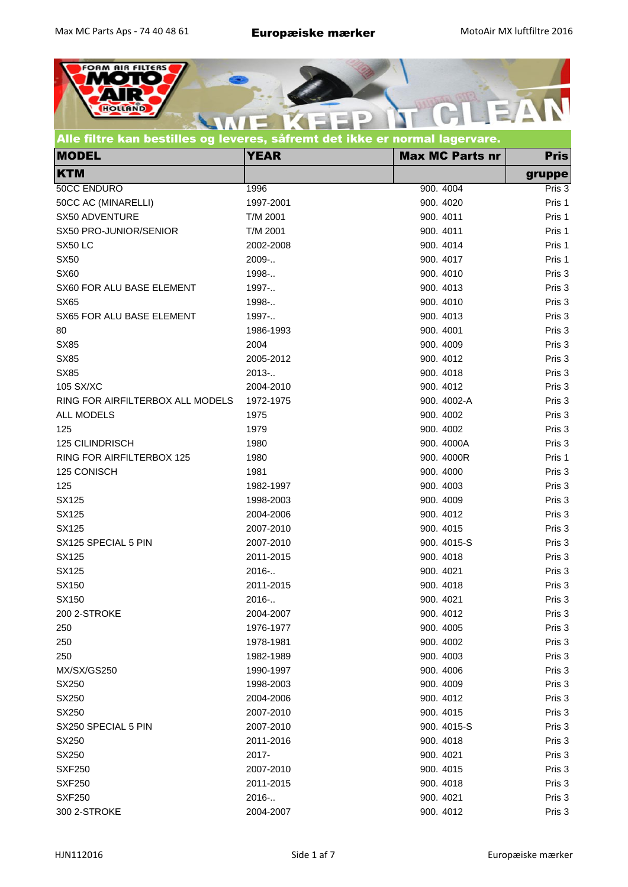

| <b>MODEL</b>                     | <b>YEAR</b> | <b>Max MC Parts nr</b> | <b>Pris</b> |
|----------------------------------|-------------|------------------------|-------------|
| <b>KTM</b>                       |             |                        | gruppe      |
| 50CC ENDURO                      | 1996        | 900. 4004              | Pris 3      |
| 50CC AC (MINARELLI)              | 1997-2001   | 900. 4020              | Pris 1      |
| SX50 ADVENTURE                   | T/M 2001    | 900. 4011              | Pris 1      |
| SX50 PRO-JUNIOR/SENIOR           | T/M 2001    | 900. 4011              | Pris 1      |
| SX50LC                           | 2002-2008   | 900. 4014              | Pris 1      |
| <b>SX50</b>                      | 2009-       | 900. 4017              | Pris 1      |
| <b>SX60</b>                      | 1998-       | 900. 4010              | Pris 3      |
| SX60 FOR ALU BASE ELEMENT        | 1997-       | 900. 4013              | Pris 3      |
| <b>SX65</b>                      | 1998-       | 900. 4010              | Pris 3      |
| SX65 FOR ALU BASE ELEMENT        | 1997-       | 900. 4013              | Pris 3      |
| 80                               | 1986-1993   | 900. 4001              | Pris 3      |
| <b>SX85</b>                      | 2004        | 900. 4009              | Pris 3      |
| <b>SX85</b>                      | 2005-2012   | 900. 4012              | Pris 3      |
| <b>SX85</b>                      | 2013-       | 900. 4018              | Pris 3      |
| 105 SX/XC                        | 2004-2010   | 900. 4012              | Pris 3      |
| RING FOR AIRFILTERBOX ALL MODELS | 1972-1975   | 900. 4002-A            | Pris 3      |
| ALL MODELS                       | 1975        | 900. 4002              | Pris 3      |
| 125                              | 1979        | 900. 4002              | Pris 3      |
| <b>125 CILINDRISCH</b>           | 1980        | 900. 4000A             | Pris 3      |
| RING FOR AIRFILTERBOX 125        | 1980        | 900. 4000R             | Pris 1      |
| 125 CONISCH                      | 1981        | 900. 4000              | Pris 3      |
| 125                              | 1982-1997   | 900. 4003              | Pris 3      |
| SX125                            | 1998-2003   | 900. 4009              | Pris 3      |
| SX125                            | 2004-2006   | 900. 4012              | Pris 3      |
| SX125                            | 2007-2010   | 900. 4015              | Pris 3      |
| SX125 SPECIAL 5 PIN              | 2007-2010   | 900. 4015-S            | Pris 3      |
| SX125                            | 2011-2015   | 900. 4018              | Pris 3      |
| SX125                            | 2016        | 900. 4021              | Pris 3      |
| SX150                            | 2011-2015   | 900. 4018              | Pris 3      |
| SX150                            | 2016-       | 900. 4021              | Pris 3      |
| 200 2-STROKE                     | 2004-2007   | 900. 4012              | Pris 3      |
| 250                              | 1976-1977   | 900. 4005              | Pris 3      |
| 250                              | 1978-1981   | 900. 4002              | Pris 3      |
| 250                              | 1982-1989   | 900. 4003              | Pris 3      |
| MX/SX/GS250                      | 1990-1997   | 900. 4006              | Pris 3      |
| SX250                            | 1998-2003   | 900. 4009              | Pris 3      |
| SX250                            | 2004-2006   | 900. 4012              | Pris 3      |
| SX250                            | 2007-2010   | 900. 4015              | Pris 3      |
| SX250 SPECIAL 5 PIN              | 2007-2010   | 900. 4015-S            | Pris 3      |
| SX250                            | 2011-2016   | 900. 4018              | Pris 3      |
| SX250                            | 2017-       | 900. 4021              | Pris 3      |
| <b>SXF250</b>                    | 2007-2010   | 900. 4015              | Pris 3      |
| <b>SXF250</b>                    | 2011-2015   | 900. 4018              | Pris 3      |
| <b>SXF250</b>                    | 2016-       | 900. 4021              | Pris 3      |
| 300 2-STROKE                     | 2004-2007   | 900. 4012              | Pris 3      |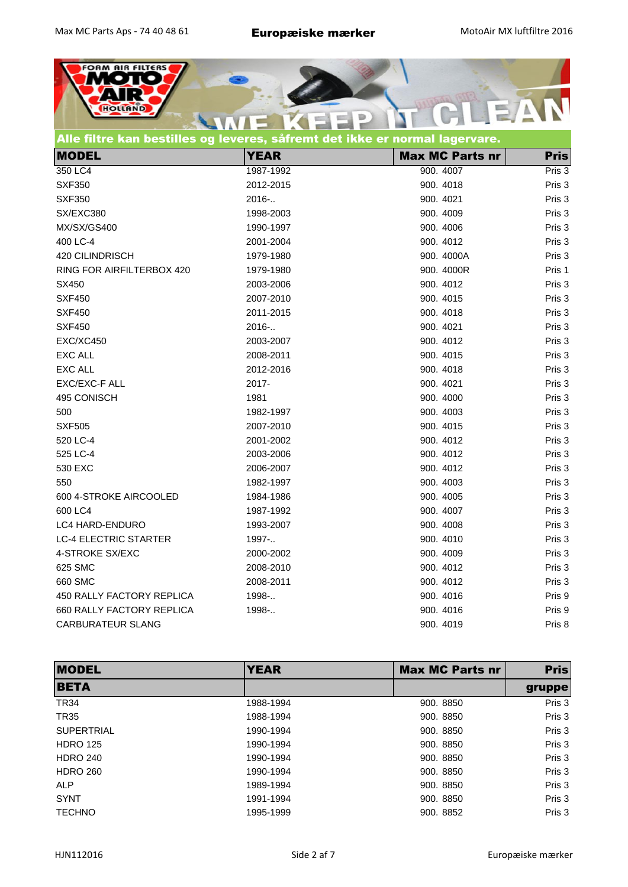

## Alle filtre kan bestilles og leveres, såfremt det ikke er normal lagervare.

| <b>MODEL</b>                 | <b>YEAR</b> | <b>Max MC Parts nr</b> | <b>Pris</b> |
|------------------------------|-------------|------------------------|-------------|
| 350 LC4                      | 1987-1992   | 900. 4007              | Pris 3      |
| <b>SXF350</b>                | 2012-2015   | 900. 4018              | Pris 3      |
| <b>SXF350</b>                | 2016-       | 900. 4021              | Pris 3      |
| SX/EXC380                    | 1998-2003   | 900. 4009              | Pris 3      |
| MX/SX/GS400                  | 1990-1997   | 900. 4006              | Pris 3      |
| 400 LC-4                     | 2001-2004   | 900. 4012              | Pris 3      |
| 420 CILINDRISCH              | 1979-1980   | 900. 4000A             | Pris 3      |
| RING FOR AIRFILTERBOX 420    | 1979-1980   | 900. 4000R             | Pris 1      |
| SX450                        | 2003-2006   | 900. 4012              | Pris 3      |
| <b>SXF450</b>                | 2007-2010   | 900. 4015              | Pris 3      |
| <b>SXF450</b>                | 2011-2015   | 900. 4018              | Pris 3      |
| <b>SXF450</b>                | 2016-       | 900. 4021              | Pris 3      |
| EXC/XC450                    | 2003-2007   | 900. 4012              | Pris 3      |
| <b>EXC ALL</b>               | 2008-2011   | 900. 4015              | Pris 3      |
| <b>EXC ALL</b>               | 2012-2016   | 900. 4018              | Pris 3      |
| EXC/EXC-F ALL                | 2017-       | 900. 4021              | Pris 3      |
| 495 CONISCH                  | 1981        | 900. 4000              | Pris 3      |
| 500                          | 1982-1997   | 900. 4003              | Pris 3      |
| <b>SXF505</b>                | 2007-2010   | 900. 4015              | Pris 3      |
| 520 LC-4                     | 2001-2002   | 900. 4012              | Pris 3      |
| 525 LC-4                     | 2003-2006   | 900. 4012              | Pris 3      |
| 530 EXC                      | 2006-2007   | 900. 4012              | Pris 3      |
| 550                          | 1982-1997   | 900. 4003              | Pris 3      |
| 600 4-STROKE AIRCOOLED       | 1984-1986   | 900. 4005              | Pris 3      |
| 600 LC4                      | 1987-1992   | 900. 4007              | Pris 3      |
| <b>LC4 HARD-ENDURO</b>       | 1993-2007   | 900. 4008              | Pris 3      |
| <b>LC-4 ELECTRIC STARTER</b> | 1997-       | 900. 4010              | Pris 3      |
| 4-STROKE SX/EXC              | 2000-2002   | 900. 4009              | Pris 3      |
| 625 SMC                      | 2008-2010   | 900. 4012              | Pris 3      |
| 660 SMC                      | 2008-2011   | 900. 4012              | Pris 3      |
| 450 RALLY FACTORY REPLICA    | 1998-       | 900. 4016              | Pris 9      |
| 660 RALLY FACTORY REPLICA    | 1998-       | 900. 4016              | Pris 9      |
| <b>CARBURATEUR SLANG</b>     |             | 900. 4019              | Pris 8      |

| <b>IMODEL</b>     | <b>YEAR</b> | <b>Max MC Parts nr</b> | <b>Pris</b> |
|-------------------|-------------|------------------------|-------------|
| <b>BETA</b>       |             |                        | gruppe      |
| <b>TR34</b>       | 1988-1994   | 900. 8850              | Pris 3      |
| <b>TR35</b>       | 1988-1994   | 900, 8850              | Pris 3      |
| <b>SUPERTRIAL</b> | 1990-1994   | 900, 8850              | Pris 3      |
| <b>HDRO 125</b>   | 1990-1994   | 900, 8850              | Pris 3      |
| <b>HDRO 240</b>   | 1990-1994   | 900, 8850              | Pris 3      |
| <b>HDRO 260</b>   | 1990-1994   | 900, 8850              | Pris 3      |
| <b>ALP</b>        | 1989-1994   | 900, 8850              | Pris 3      |
| <b>SYNT</b>       | 1991-1994   | 900, 8850              | Pris 3      |
| <b>TECHNO</b>     | 1995-1999   | 900. 8852              | Pris 3      |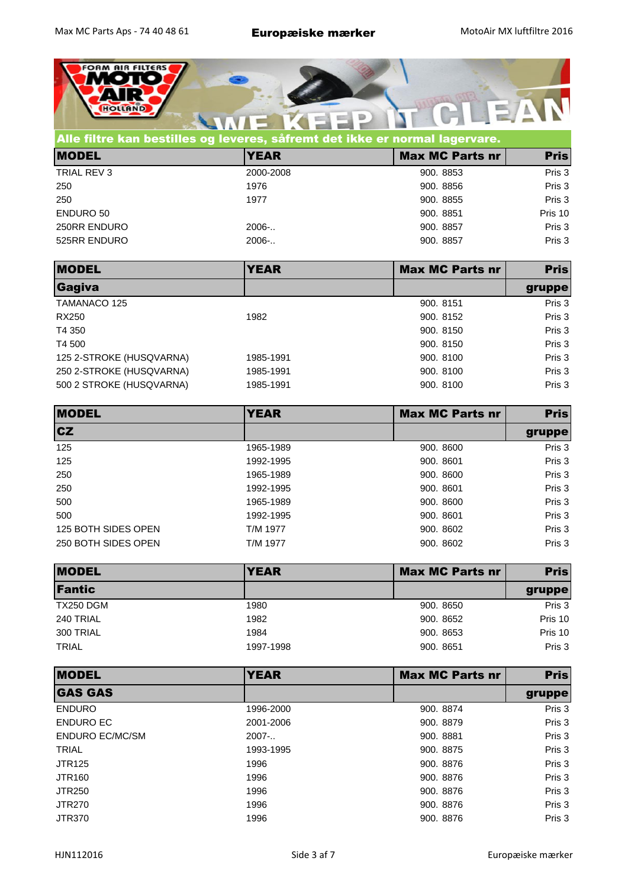

| Alle filtre kan bestilles og leveres, såfremt det ikke er normal lagervare. |             |                        |             |  |
|-----------------------------------------------------------------------------|-------------|------------------------|-------------|--|
| <b>MODEL</b>                                                                | <b>YEAR</b> | <b>Max MC Parts nr</b> | <b>Pris</b> |  |
| TRIAL REV 3                                                                 | 2000-2008   | 900. 8853              | Pris 3      |  |
| 250                                                                         | 1976        | 900. 8856              | Pris 3      |  |
| 250                                                                         | 1977        | 900. 8855              | Pris 3      |  |
| <b>ENDURO 50</b>                                                            |             | 900. 8851              | Pris 10     |  |
| 250RR ENDURO                                                                | $2006-.$    | 900. 8857              | Pris 3      |  |
| 525RR ENDURO                                                                | $2006-.$    | 900. 8857              | Pris 3      |  |

| <b>MODEL</b>             | <b>YEAR</b> | <b>Max MC Parts nr</b> | <b>Pris</b> |
|--------------------------|-------------|------------------------|-------------|
| Gagiva                   |             |                        | gruppe      |
| TAMANACO 125             |             | 900. 8151              | Pris 3      |
| RX250                    | 1982        | 900. 8152              | Pris 3      |
| T4 350                   |             | 900, 8150              | Pris 3      |
| T4 500                   |             | 900, 8150              | Pris 3      |
| 125 2-STROKE (HUSQVARNA) | 1985-1991   | 900, 8100              | Pris 3      |
| 250 2-STROKE (HUSQVARNA) | 1985-1991   | 900, 8100              | Pris 3      |
| 500 2 STROKE (HUSQVARNA) | 1985-1991   | 900, 8100              | Pris 3      |

| <b>MODEL</b>        | <b>YEAR</b> | <b>Max MC Parts nr</b> | <b>Pris</b> |
|---------------------|-------------|------------------------|-------------|
| <b>CZ</b>           |             |                        | gruppe      |
| 125                 | 1965-1989   | 900. 8600              | Pris 3      |
| 125                 | 1992-1995   | 900. 8601              | Pris 3      |
| 250                 | 1965-1989   | 900, 8600              | Pris 3      |
| 250                 | 1992-1995   | 900. 8601              | Pris 3      |
| 500                 | 1965-1989   | 900, 8600              | Pris 3      |
| 500                 | 1992-1995   | 900. 8601              | Pris 3      |
| 125 BOTH SIDES OPEN | T/M 1977    | 900. 8602              | Pris 3      |
| 250 BOTH SIDES OPEN | T/M 1977    | 900. 8602              | Pris 3      |

| <b>MODEL</b>  | <b>YEAR</b> | <b>Max MC Parts nr</b> | <b>Pris</b> |
|---------------|-------------|------------------------|-------------|
| <b>Fantic</b> |             |                        | gruppe      |
| TX250 DGM     | 1980        | 900. 8650              | Pris 3      |
| 240 TRIAL     | 1982        | 900. 8652              | Pris 10     |
| 300 TRIAL     | 1984        | 900. 8653              | Pris 10     |
| <b>TRIAL</b>  | 1997-1998   | 900. 8651              | Pris 3      |

| <b>MODEL</b>           | <b>YEAR</b> | <b>Max MC Parts nr</b> | <b>Pris</b> |
|------------------------|-------------|------------------------|-------------|
| <b>GAS GAS</b>         |             |                        | gruppe      |
| <b>ENDURO</b>          | 1996-2000   | 900. 8874              | Pris 3      |
| ENDURO EC              | 2001-2006   | 900, 8879              | Pris 3      |
| <b>ENDURO EC/MC/SM</b> | $2007-.$    | 900.8881               | Pris 3      |
| <b>TRIAL</b>           | 1993-1995   | 900. 8875              | Pris 3      |
| <b>JTR125</b>          | 1996        | 900, 8876              | Pris 3      |
| <b>JTR160</b>          | 1996        | 900, 8876              | Pris 3      |
| <b>JTR250</b>          | 1996        | 900, 8876              | Pris 3      |
| <b>JTR270</b>          | 1996        | 900, 8876              | Pris 3      |
| <b>JTR370</b>          | 1996        | 900, 8876              | Pris 3      |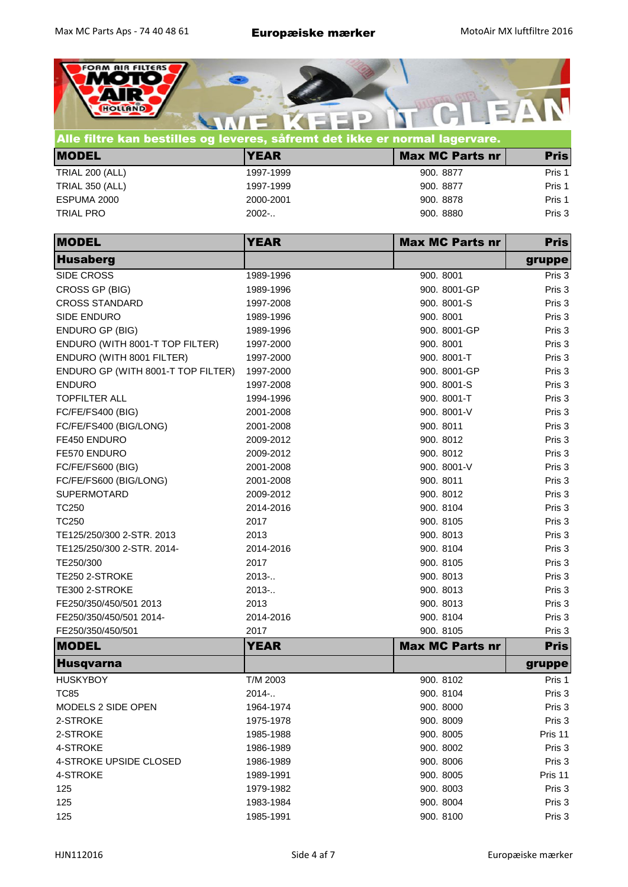

|                        | $\sim$ . The complete the set of the state of the state of the state and the state of the state in $\mathcal{S}^1$ at the st |                        |             |  |
|------------------------|------------------------------------------------------------------------------------------------------------------------------|------------------------|-------------|--|
| <b>MODEL</b>           | <b>YEAR</b>                                                                                                                  | <b>Max MC Parts nr</b> | <b>Pris</b> |  |
| <b>TRIAL 200 (ALL)</b> | 1997-1999                                                                                                                    | 900. 8877              | Pris 1      |  |
| <b>TRIAL 350 (ALL)</b> | 1997-1999                                                                                                                    | 900. 8877              | Pris 1      |  |
| ESPUMA 2000            | 2000-2001                                                                                                                    | 900, 8878              | Pris 1      |  |
| <b>TRIAL PRO</b>       | $2002-.$                                                                                                                     | 900, 8880              | Pris 3      |  |

| <b>MODEL</b>                       | <b>YEAR</b> | <b>Max MC Parts nr</b> | <b>Pris</b> |
|------------------------------------|-------------|------------------------|-------------|
| <b>Husaberg</b>                    |             |                        | gruppe      |
| SIDE CROSS                         | 1989-1996   | 900. 8001              | Pris 3      |
| CROSS GP (BIG)                     | 1989-1996   | 900. 8001-GP           | Pris 3      |
| <b>CROSS STANDARD</b>              | 1997-2008   | 900. 8001-S            | Pris 3      |
| SIDE ENDURO                        | 1989-1996   | 900. 8001              | Pris 3      |
| <b>ENDURO GP (BIG)</b>             | 1989-1996   | 900. 8001-GP           | Pris 3      |
| ENDURO (WITH 8001-T TOP FILTER)    | 1997-2000   | 900. 8001              | Pris 3      |
| ENDURO (WITH 8001 FILTER)          | 1997-2000   | 900. 8001-T            | Pris 3      |
| ENDURO GP (WITH 8001-T TOP FILTER) | 1997-2000   | 900. 8001-GP           | Pris 3      |
| <b>ENDURO</b>                      | 1997-2008   | 900. 8001-S            | Pris 3      |
| <b>TOPFILTER ALL</b>               | 1994-1996   | 900. 8001-T            | Pris 3      |
| <b>FC/FE/FS400 (BIG)</b>           | 2001-2008   | 900. 8001-V            | Pris 3      |
| FC/FE/FS400 (BIG/LONG)             | 2001-2008   | 900. 8011              | Pris 3      |
| FE450 ENDURO                       | 2009-2012   | 900. 8012              | Pris 3      |
| FE570 ENDURO                       | 2009-2012   | 900. 8012              | Pris 3      |
| FC/FE/FS600 (BIG)                  | 2001-2008   | 900. 8001-V            | Pris 3      |
| FC/FE/FS600 (BIG/LONG)             | 2001-2008   | 900. 8011              | Pris 3      |
| <b>SUPERMOTARD</b>                 | 2009-2012   | 900. 8012              | Pris 3      |
| <b>TC250</b>                       | 2014-2016   | 900. 8104              | Pris 3      |
| <b>TC250</b>                       | 2017        | 900. 8105              | Pris 3      |
| TE125/250/300 2-STR. 2013          | 2013        | 900. 8013              | Pris 3      |
| TE125/250/300 2-STR. 2014-         | 2014-2016   | 900. 8104              | Pris 3      |
| TE250/300                          | 2017        | 900. 8105              | Pris 3      |
| TE250 2-STROKE                     | $2013-.$    | 900. 8013              | Pris 3      |
| TE300 2-STROKE                     | $2013-.$    | 900. 8013              | Pris 3      |
| FE250/350/450/501 2013             | 2013        | 900. 8013              | Pris 3      |
| FE250/350/450/501 2014-            | 2014-2016   | 900. 8104              | Pris 3      |
| FE250/350/450/501                  | 2017        | 900. 8105              | Pris 3      |
| <b>MODEL</b>                       | <b>YEAR</b> | <b>Max MC Parts nr</b> | <b>Pris</b> |
| Husqvarna                          |             |                        | gruppe      |
| <b>HUSKYBOY</b>                    | T/M 2003    | 900. 8102              | Pris 1      |
| <b>TC85</b>                        | 2014 -      | 900. 8104              | Pris 3      |
| MODELS 2 SIDE OPEN                 | 1964-1974   | 900. 8000              | Pris 3      |
| 2-STROKE                           | 1975-1978   | 900. 8009              | Pris 3      |
| 2-STROKE                           | 1985-1988   | 900. 8005              | Pris 11     |
| 4-STROKE                           | 1986-1989   | 900. 8002              | Pris 3      |
| 4-STROKE UPSIDE CLOSED             | 1986-1989   | 900. 8006              | Pris 3      |
| 4-STROKE                           | 1989-1991   | 900. 8005              | Pris 11     |
| 125                                | 1979-1982   | 900. 8003              | Pris 3      |
| 125                                | 1983-1984   | 900. 8004              | Pris 3      |
| 125                                | 1985-1991   | 900. 8100              | Pris 3      |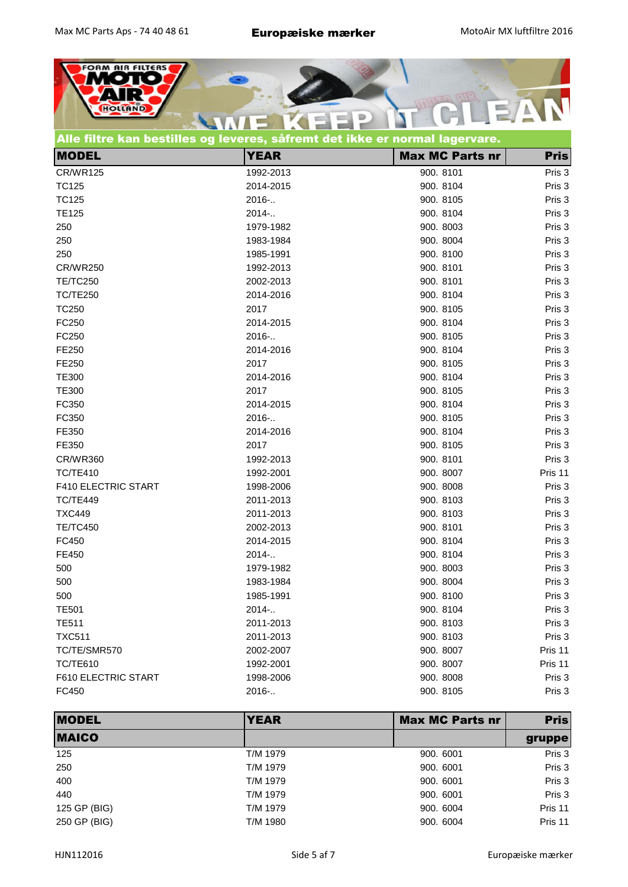

|  |  | Alle filtre kan bestilles og leveres, såfremt det ikke er normal lagervare. |  |
|--|--|-----------------------------------------------------------------------------|--|
|--|--|-----------------------------------------------------------------------------|--|

| <b>MODEL</b>               | <b>YEAR</b> | <b>Max MC Parts nr</b> | <b>Pris</b> |
|----------------------------|-------------|------------------------|-------------|
| <b>CR/WR125</b>            | 1992-2013   | 900. 8101              | Pris 3      |
| <b>TC125</b>               | 2014-2015   | 900. 8104              | Pris 3      |
| <b>TC125</b>               | 2016-       | 900. 8105              | Pris 3      |
| <b>TE125</b>               | 2014        | 900. 8104              | Pris 3      |
| 250                        | 1979-1982   | 900. 8003              | Pris 3      |
| 250                        | 1983-1984   | 900. 8004              | Pris 3      |
| 250                        | 1985-1991   | 900. 8100              | Pris 3      |
| <b>CR/WR250</b>            | 1992-2013   | 900. 8101              | Pris 3      |
| <b>TE/TC250</b>            | 2002-2013   | 900. 8101              | Pris 3      |
| <b>TC/TE250</b>            | 2014-2016   | 900. 8104              | Pris 3      |
| <b>TC250</b>               | 2017        | 900. 8105              | Pris 3      |
| FC250                      | 2014-2015   | 900. 8104              | Pris 3      |
| FC250                      | 2016-       | 900. 8105              | Pris 3      |
| FE250                      | 2014-2016   | 900. 8104              | Pris 3      |
| FE250                      | 2017        | 900. 8105              | Pris 3      |
| <b>TE300</b>               | 2014-2016   | 900. 8104              | Pris 3      |
| <b>TE300</b>               | 2017        | 900. 8105              | Pris 3      |
| FC350                      | 2014-2015   | 900. 8104              | Pris 3      |
| FC350                      | 2016 -      | 900. 8105              | Pris 3      |
| FE350                      | 2014-2016   | 900. 8104              | Pris 3      |
| FE350                      | 2017        | 900. 8105              | Pris 3      |
| <b>CR/WR360</b>            | 1992-2013   | 900. 8101              | Pris 3      |
| <b>TC/TE410</b>            | 1992-2001   | 900. 8007              | Pris 11     |
| <b>F410 ELECTRIC START</b> | 1998-2006   | 900. 8008              | Pris 3      |
| TC/TE449                   | 2011-2013   | 900. 8103              | Pris 3      |
| <b>TXC449</b>              | 2011-2013   | 900. 8103              | Pris 3      |
| <b>TE/TC450</b>            | 2002-2013   | 900. 8101              | Pris 3      |
| FC450                      | 2014-2015   | 900. 8104              | Pris 3      |
| FE450                      | 2014 -      | 900. 8104              | Pris 3      |
| 500                        | 1979-1982   | 900. 8003              | Pris 3      |
| 500                        | 1983-1984   | 900. 8004              | Pris 3      |
| 500                        | 1985-1991   | 900. 8100              | Pris 3      |
| <b>TE501</b>               | 2014 -      | 900. 8104              | Pris 3      |
| <b>TE511</b>               | 2011-2013   | 900. 8103              | Pris 3      |
| <b>TXC511</b>              | 2011-2013   | 900. 8103              | Pris 3      |
| TC/TE/SMR570               | 2002-2007   | 900. 8007              | Pris 11     |
| <b>TC/TE610</b>            | 1992-2001   | 900. 8007              | Pris 11     |
| F610 ELECTRIC START        | 1998-2006   | 900. 8008              | Pris 3      |
| FC450                      | 2016-       | 900. 8105              | Pris 3      |

| <b>MODEL</b> | <b>YEAR</b> | <b>Max MC Parts nr</b> | <b>Pris</b> |
|--------------|-------------|------------------------|-------------|
| <b>MAICO</b> |             |                        | gruppe      |
| 125          | T/M 1979    | 900. 6001              | Pris 3      |
| 250          | T/M 1979    | 900. 6001              | Pris 3      |
| 400          | T/M 1979    | 900. 6001              | Pris 3      |
| 440          | T/M 1979    | 900. 6001              | Pris 3      |
| 125 GP (BIG) | T/M 1979    | 900. 6004              | Pris 11     |
| 250 GP (BIG) | T/M 1980    | 900. 6004              | Pris 11     |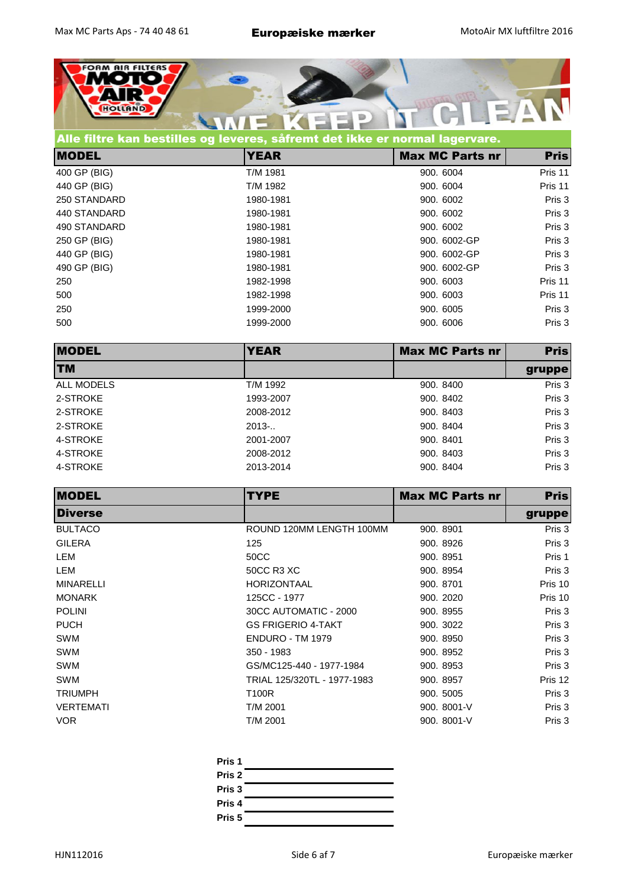

| Alle filtre kan bestilles og leveres, såfremt det ikke er normal lagervare. |             |                        |             |
|-----------------------------------------------------------------------------|-------------|------------------------|-------------|
| <b>MODEL</b>                                                                | <b>YEAR</b> | <b>Max MC Parts nr</b> | <b>Pris</b> |
| 400 GP (BIG)                                                                | T/M 1981    | 900. 6004              | Pris 11     |
| 440 GP (BIG)                                                                | T/M 1982    | 900. 6004              | Pris 11     |
| 250 STANDARD                                                                | 1980-1981   | 900. 6002              | Pris 3      |
| 440 STANDARD                                                                | 1980-1981   | 900, 6002              | Pris 3      |
| 490 STANDARD                                                                | 1980-1981   | 900, 6002              | Pris 3      |
| 250 GP (BIG)                                                                | 1980-1981   | 900, 6002-GP           | Pris 3      |
| 440 GP (BIG)                                                                | 1980-1981   | 900, 6002-GP           | Pris 3      |
| 490 GP (BIG)                                                                | 1980-1981   | 900, 6002-GP           | Pris 3      |
| 250                                                                         | 1982-1998   | 900. 6003              | Pris 11     |
| 500                                                                         | 1982-1998   | 900, 6003              | Pris 11     |
| 250                                                                         | 1999-2000   | 900, 6005              | Pris 3      |
| 500                                                                         | 1999-2000   | 900. 6006              | Pris 3      |

| <b>MODEL</b> | <b>YEAR</b> | <b>Max MC Parts nr</b> | <b>Pris</b> |
|--------------|-------------|------------------------|-------------|
| <b>TM</b>    |             |                        | gruppe      |
| ALL MODELS   | T/M 1992    | 900, 8400              | Pris 3      |
| 2-STROKE     | 1993-2007   | 900, 8402              | Pris 3      |
| 2-STROKE     | 2008-2012   | 900. 8403              | Pris 3      |
| 2-STROKE     | $2013-.$    | 900. 8404              | Pris 3      |
| 4-STROKE     | 2001-2007   | 900. 8401              | Pris 3      |
| 4-STROKE     | 2008-2012   | 900. 8403              | Pris 3      |
| 4-STROKE     | 2013-2014   | 900. 8404              | Pris 3      |

| <b>MODEL</b>     | <b>TYPE</b>                 | <b>Max MC Parts nr</b> | <b>Pris</b> |
|------------------|-----------------------------|------------------------|-------------|
| <b>IDiverse</b>  |                             |                        | gruppe      |
| <b>BULTACO</b>   | ROUND 120MM LENGTH 100MM    | 900. 8901              | Pris 3      |
| <b>GILERA</b>    | 125                         | 900. 8926              | Pris 3      |
| LEM              | 50CC                        | 900. 8951              | Pris 1      |
| LEM              | 50CC R3 XC                  | 900. 8954              | Pris 3      |
| <b>MINARELLI</b> | <b>HORIZONTAAL</b>          | 900. 8701              | Pris 10     |
| <b>MONARK</b>    | 125CC - 1977                | 900. 2020              | Pris 10     |
| <b>POLINI</b>    | 30CC AUTOMATIC - 2000       | 900. 8955              | Pris 3      |
| <b>PUCH</b>      | <b>GS FRIGERIO 4-TAKT</b>   | 900. 3022              | Pris 3      |
| SWM              | <b>ENDURO - TM 1979</b>     | 900. 8950              | Pris 3      |
| <b>SWM</b>       | 350 - 1983                  | 900. 8952              | Pris 3      |
| <b>SWM</b>       | GS/MC125-440 - 1977-1984    | 900. 8953              | Pris 3      |
| <b>SWM</b>       | TRIAL 125/320TL - 1977-1983 | 900. 8957              | Pris 12     |
| <b>TRIUMPH</b>   | T100R                       | 900. 5005              | Pris 3      |
| <b>VERTEMATI</b> | T/M 2001                    | 900. 8001-V            | Pris 3      |
| <b>VOR</b>       | T/M 2001                    | 900. 8001-V            | Pris 3      |